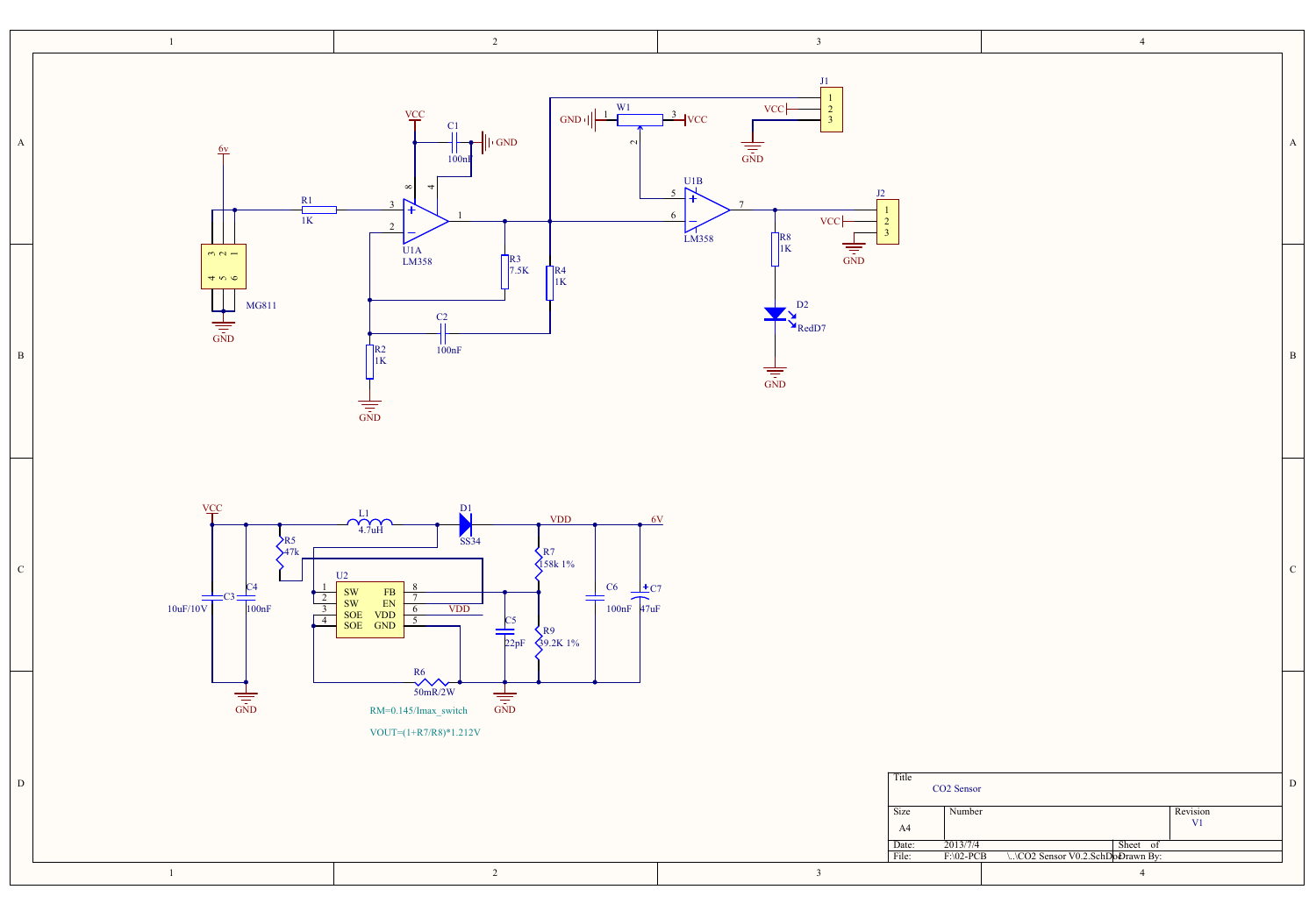